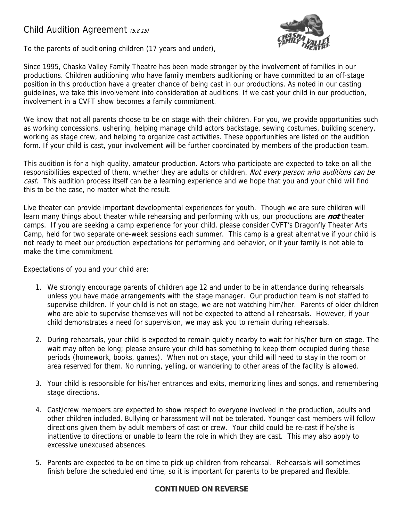## Child Audition Agreement (5.8.15)





Since 1995, Chaska Valley Family Theatre has been made stronger by the involvement of families in our productions. Children auditioning who have family members auditioning or have committed to an off-stage position in this production have a greater chance of being cast in our productions. As noted in our casting guidelines, we take this involvement into consideration at auditions. If we cast your child in our production, involvement in a CVFT show becomes a family commitment.

We know that not all parents choose to be on stage with their children. For you, we provide opportunities such as working concessions, ushering, helping manage child actors backstage, sewing costumes, building scenery, working as stage crew, and helping to organize cast activities. These opportunities are listed on the audition form. If your child is cast, your involvement will be further coordinated by members of the production team.

This audition is for a high quality, amateur production. Actors who participate are expected to take on all the responsibilities expected of them, whether they are adults or children. Not every person who auditions can be cast. This audition process itself can be a learning experience and we hope that you and your child will find this to be the case, no matter what the result.

Live theater can provide important developmental experiences for youth. Though we are sure children will learn many things about theater while rehearsing and performing with us, our productions are **not** theater camps. If you are seeking a camp experience for your child, please consider CVFT's Dragonfly Theater Arts Camp, held for two separate one-week sessions each summer. This camp is a great alternative if your child is not ready to meet our production expectations for performing and behavior, or if your family is not able to make the time commitment.

Expectations of you and your child are:

- 1. We strongly encourage parents of children age 12 and under to be in attendance during rehearsals unless you have made arrangements with the stage manager. Our production team is not staffed to supervise children. If your child is not on stage, we are not watching him/her. Parents of older children who are able to supervise themselves will not be expected to attend all rehearsals. However, if your child demonstrates a need for supervision, we may ask you to remain during rehearsals.
- 2. During rehearsals, your child is expected to remain quietly nearby to wait for his/her turn on stage. The wait may often be long; please ensure your child has something to keep them occupied during these periods (homework, books, games). When not on stage, your child will need to stay in the room or area reserved for them. No running, yelling, or wandering to other areas of the facility is allowed.
- 3. Your child is responsible for his/her entrances and exits, memorizing lines and songs, and remembering stage directions.
- 4. Cast/crew members are expected to show respect to everyone involved in the production, adults and other children included. Bullying or harassment will not be tolerated. Younger cast members will follow directions given them by adult members of cast or crew. Your child could be re-cast if he/she is inattentive to directions or unable to learn the role in which they are cast. This may also apply to excessive unexcused absences.
- 5. Parents are expected to be on time to pick up children from rehearsal. Rehearsals will sometimes finish before the scheduled end time, so it is important for parents to be prepared and flexible.

## **CONTINUED ON REVERSE**